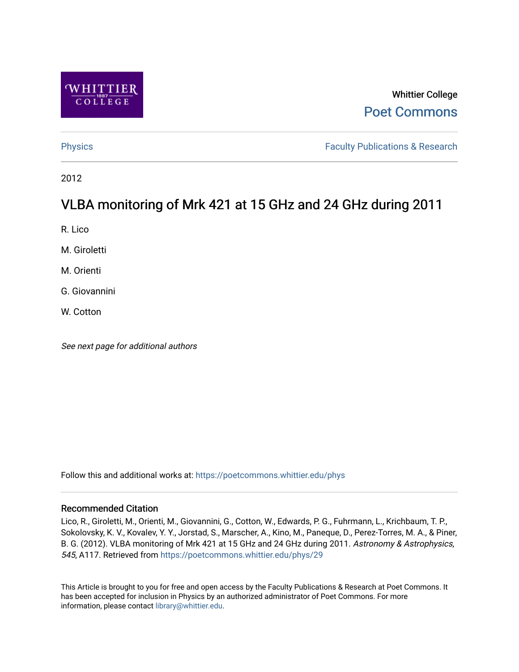

# Whittier College [Poet Commons](https://poetcommons.whittier.edu/)

[Physics](https://poetcommons.whittier.edu/phys) **Faculty Publications & Research Physics Faculty Publications & Research** 

2012

# VLBA monitoring of Mrk 421 at 15 GHz and 24 GHz during 2011

R. Lico

M. Giroletti

M. Orienti

G. Giovannini

W. Cotton

See next page for additional authors

Follow this and additional works at: [https://poetcommons.whittier.edu/phys](https://poetcommons.whittier.edu/phys?utm_source=poetcommons.whittier.edu%2Fphys%2F29&utm_medium=PDF&utm_campaign=PDFCoverPages)

# Recommended Citation

Lico, R., Giroletti, M., Orienti, M., Giovannini, G., Cotton, W., Edwards, P. G., Fuhrmann, L., Krichbaum, T. P., Sokolovsky, K. V., Kovalev, Y. Y., Jorstad, S., Marscher, A., Kino, M., Paneque, D., Perez-Torres, M. A., & Piner, B. G. (2012). VLBA monitoring of Mrk 421 at 15 GHz and 24 GHz during 2011. Astronomy & Astrophysics, 545, A117. Retrieved from [https://poetcommons.whittier.edu/phys/29](https://poetcommons.whittier.edu/phys/29?utm_source=poetcommons.whittier.edu%2Fphys%2F29&utm_medium=PDF&utm_campaign=PDFCoverPages)

This Article is brought to you for free and open access by the Faculty Publications & Research at Poet Commons. It has been accepted for inclusion in Physics by an authorized administrator of Poet Commons. For more information, please contact [library@whittier.edu.](mailto:library@whittier.edu)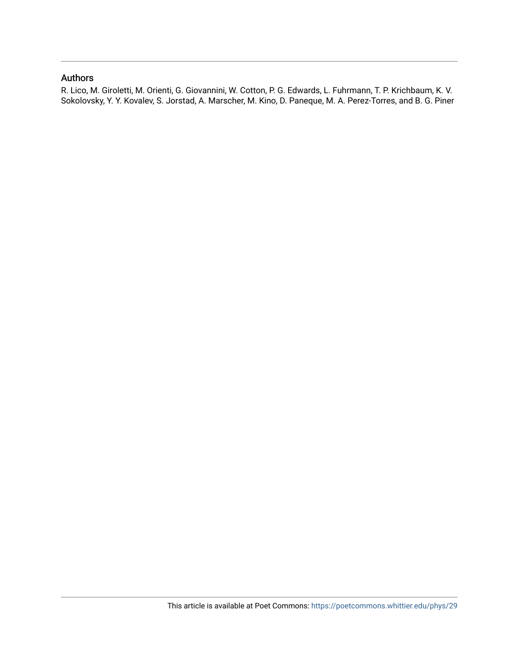# Authors

R. Lico, M. Giroletti, M. Orienti, G. Giovannini, W. Cotton, P. G. Edwards, L. Fuhrmann, T. P. Krichbaum, K. V. Sokolovsky, Y. Y. Kovalev, S. Jorstad, A. Marscher, M. Kino, D. Paneque, M. A. Perez-Torres, and B. G. Piner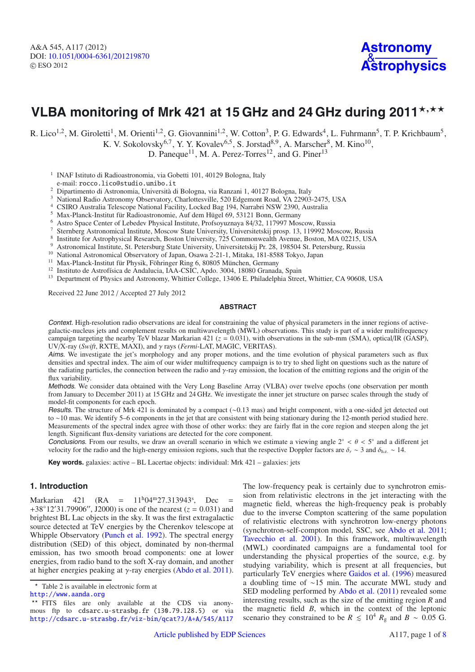# VLBA monitoring of Mrk 421 at 15 GHz and 24 GHz during 2011\*,\*\*

R. Lico<sup>1,2</sup>, M. Giroletti<sup>1</sup>, M. Orienti<sup>1,2</sup>, G. Giovannini<sup>1,2</sup>, W. Cotton<sup>3</sup>, P. G. Edwards<sup>4</sup>, L. Fuhrmann<sup>5</sup>, T. P. Krichbaum<sup>5</sup>,

K. V. Sokolovsky<sup>6,7</sup>, Y. Y. Kovalev<sup>6,5</sup>, S. Jorstad<sup>8,9</sup>, A. Marscher<sup>8</sup>, M. Kino<sup>10</sup>,

D. Paneque<sup>11</sup>, M. A. Perez-Torres<sup>12</sup>, and G. Piner<sup>13</sup>

<sup>1</sup> INAF Istituto di Radioastronomia, via Gobetti 101, 40129 Bologna, Italy

e-mail: rocco.lico@studio.unibo.it

- 2 Dipartimento di Astronomia, Università di Bologna, via Ranzani 1, 40127 Bologna, Italy<br>3 Notional Bodio Astronomy Observatory Charlottesville, 520 Edsempat Bood, VA 22002
- <sup>3</sup> National Radio Astronomy Observatory, Charlottesville, 520 Edgemont Road, VA 22903-2475, USA
- <sup>4</sup> CSIRO Australia Telescope National Facility, Locked Bag 194, Narrabri NSW 2390, Australia
- 
- <sup>5</sup> Max-Planck-Institut für Radioastronomie, Auf dem Hügel 69, 53121 Bonn, Germany
- <sup>7</sup> Sternberg Astronomical Institute, Moscow State University, Universitetskij prosp. 13, 119992 Moscow, Russia
- <sup>8</sup> Institute for Astrophysical Research, Boston University, 725 Commonwealth Avenue, Boston, MA 02215, USA
- <sup>9</sup> Astronomical Institute, St. Petersburg State University, Universitetskij Pr. 28, 198504 St. Petersburg, Russia
- <sup>10</sup> National Astronomical Observatory of Japan, Osawa 2-21-1, Mitaka, 181-8588 Tokyo, Japan
- <sup>11</sup> Max-Planck-Institut für Physik, Föhringer Ring 6, 80805 München, Germany
- <sup>12</sup> Instituto de Astrofísica de Andalucia, IAA-CSIC, Apdo. 3004, 18080 Granada, Spain
- <sup>13</sup> Department of Physics and Astronomy, Whittier College, 13406 E. Philadelphia Street, Whittier, CA 90608, USA

Received 22 June 2012 / Accepted 27 July 2012

#### **ABSTRACT**

Context. High-resolution radio observations are ideal for constraining the value of physical parameters in the inner regions of activegalactic-nucleus jets and complement results on multiwavelength (MWL) observations. This study is part of a wider multifrequency campaign targeting the nearby TeV blazar Markarian 421 (*<sup>z</sup>* <sup>=</sup> <sup>0</sup>.031), with observations in the sub-mm (SMA), optical/IR (GASP), UV/X-ray (*Swift*, RXTE, MAXI), and γ rays (*Fermi*-LAT, MAGIC, VERITAS).

Aims. We investigate the jet's morphology and any proper motions, and the time evolution of physical parameters such as flux densities and spectral index. The aim of our wider multifrequency campaign is to try to shed light on questions such as the nature of the radiating particles, the connection between the radio and γ-ray emission, the location of the emitting regions and the origin of the flux variability.

Methods. We consider data obtained with the Very Long Baseline Array (VLBA) over twelve epochs (one observation per month from January to December 2011) at 15 GHz and 24 GHz. We investigate the inner jet structure on parsec scales through the study of model-fit components for each epoch.

Results. The structure of Mrk 421 is dominated by a compact (∼0.13 mas) and bright component, with a one-sided jet detected out to ∼10 mas. We identify 5–6 components in the jet that are consistent with being stationary during the 12-month period studied here. Measurements of the spectral index agree with those of other works: they are fairly flat in the core region and steepen along the jet length. Significant flux-density variations are detected for the core component.

Conclusions. From our results, we draw an overall scenario in which we estimate a viewing angle  $2° < \theta < 5°$  and a different jet velocity for the radio and the high-energy emission regions, such that the respective Doppler factors are  $\delta_r \sim 3$  and  $\delta_{\text{he}} \sim 14$ .

**Key words.** galaxies: active – BL Lacertae objects: individual: Mrk 421 – galaxies: jets

## **1. Introduction**

Markarian 421 (RA =  $11^{\text{h}}04^{\text{m}}27.313943^{\text{s}}$ , Dec =  $+38^{\circ}12'3179906''$  (72000) is one of the nearest (z = 0.031) and  $+38°12'31.79906''$ , J2000) is one of the nearest  $(z = 0.031)$  and brightest BL L ac objects in the sky. It was the first extragalactic brightest BL Lac objects in the sky. It was the first extragalactic source detected at TeV energies by the Cherenkov telescope at Whipple Observatory [\(Punch et al. 1992](#page-7-0)). The spectral energy distribution (SED) of this object, dominated by non-thermal emission, has two smooth broad components: one at lower energies, from radio band to the soft X-ray domain, and another at higher energies peaking at  $\gamma$ -ray energies [\(Abdo et al. 2011\)](#page-7-1).

The low-frequency peak is certainly due to synchrotron emission from relativistic electrons in the jet interacting with the magnetic field, whereas the high-frequency peak is probably due to the inverse Compton scattering of the same population of relativistic electrons with synchrotron low-energy photons (synchrotron-self-compton model, SSC, see [Abdo et al. 2011;](#page-7-1) [Tavecchio et al. 2001\)](#page-7-2). In this framework, multiwavelength (MWL) coordinated campaigns are a fundamental tool for understanding the physical properties of the source, e.g. by studying variability, which is present at all frequencies, but particularly TeV energies where [Gaidos et al.](#page-7-3) [\(1996\)](#page-7-3) measured a doubling time of ∼15 min. The accurate MWL study and SED modeling performed by [Abdo et al.](#page-7-1) [\(2011\)](#page-7-1) revealed some interesting results, such as the size of the emitting region *R* and the magnetic field *B*, which in the context of the leptonic scenario they constrained to be  $R \le 10^4 R_{\rm g}$  and  $B \sim 0.05$  G.

<sup>\*</sup> Table 2 is available in electronic form at <http://www.aanda.org>

<sup>\*\*</sup> FITS files are only available at the CDS via anonymous ftp to cdsarc.u-strasbg.fr (130.79.128.5) or via <http://cdsarc.u-strasbg.fr/viz-bin/qcat?J/A+A/545/A117>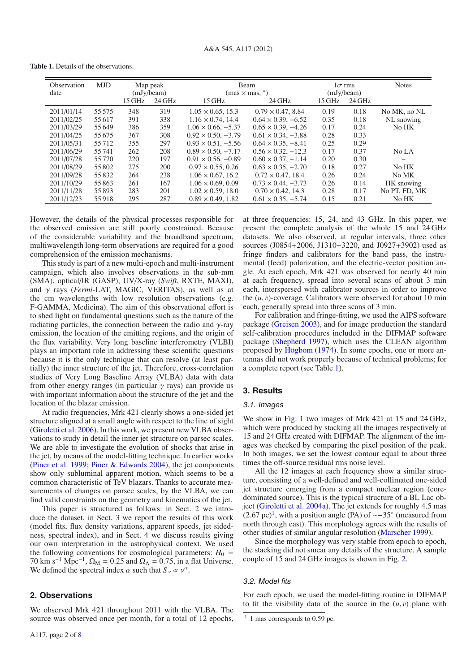**Table 1.** Details of the observations.

<span id="page-3-0"></span>

| Observation<br>date | <b>MJD</b> | Map peak<br>(mJy/beam)<br>15 GHz<br>24 GHz |     | $15$ GHz                     | Beam<br>$(mas \times mas, \degree)$<br>24 GHz | $1\sigma$ rms<br>(mJy/beam)<br>$15$ GHz<br>24 GHz |      | <b>Notes</b>  |
|---------------------|------------|--------------------------------------------|-----|------------------------------|-----------------------------------------------|---------------------------------------------------|------|---------------|
|                     |            |                                            |     |                              |                                               |                                                   |      |               |
| 2011/01/14          | 55 5 7 5   | 348                                        | 319 | $1.05 \times 0.65$ , 15.3    | $0.79 \times 0.47, 8.84$                      | 0.19                                              | 0.18 | No MK, no NL  |
| 2011/02/25          | 55 617     | 391                                        | 338 | $1.16 \times 0.74$ , 14.4    | $0.64 \times 0.39, -6.52$                     | 0.35                                              | 0.18 | NL snowing    |
| 2011/03/29          | 55 649     | 386                                        | 359 | $1.06 \times 0.66, -5.37$    | $0.65 \times 0.39$ , $-4.26$                  | 0.17                                              | 0.24 | No HK         |
| 2011/04/25          | 55 675     | 367                                        | 308 | $0.92 \times 0.50$ , $-3.79$ | $0.61 \times 0.34$ , $-3.88$                  | 0.28                                              | 0.33 |               |
| 2011/05/31          | 55712      | 355                                        | 297 | $0.93 \times 0.51, -5.56$    | $0.64 \times 0.35, -8.41$                     | 0.25                                              | 0.29 |               |
| 2011/06/29          | 55 741     | 262                                        | 208 | $0.89 \times 0.50$ , $-7.17$ | $0.56 \times 0.32, -12.3$                     | 0.17                                              | 0.37 | No LA         |
| 2011/07/28          | 55 7 7 0   | 220                                        | 197 | $0.91 \times 0.56$ , $-0.89$ | $0.60 \times 0.37, -1.14$                     | 0.20                                              | 0.30 | —             |
| 2011/08/29          | 55 802     | 275                                        | 200 | $0.97 \times 0.55$ , 0.26    | $0.63 \times 0.35, -2.70$                     | 0.18                                              | 0.27 | No HK         |
| 2011/09/28          | 55 832     | 264                                        | 238 | $1.06 \times 0.67$ , 16.2    | $0.72 \times 0.47$ , 18.4                     | 0.26                                              | 0.24 | No MK         |
| 2011/10/29          | 55863      | 261                                        | 167 | $1.06 \times 0.69$ , 0.09    | $0.73 \times 0.44$ , $-3.73$                  | 0.26                                              | 0.14 | HK snowing    |
| 2011/11/28          | 55893      | 283                                        | 201 | $1.02 \times 0.59$ , 18.0    | $0.70 \times 0.42$ , 14.3                     | 0.28                                              | 0.17 | No PT, FD, MK |
| 2011/12/23          | 55918      | 295                                        | 287 | $0.89 \times 0.49$ , 1.82    | $0.61 \times 0.35, -5.74$                     | 0.15                                              | 0.21 | No HK         |

However, the details of the physical processes responsible for the observed emission are still poorly constrained. Because of the considerable variability and the broadband spectrum, multiwavelength long-term observations are required for a good comprehension of the emission mechanisms.

This study is part of a new multi-epoch and multi-instrument campaign, which also involves observations in the sub-mm (SMA), optical/IR (GASP), UV/X-ray (*Swift*, RXTE, MAXI), and γ rays (*Fermi*-LAT, MAGIC, VERITAS), as well as at the cm wavelengths with low resolution observations (e.g. F-GAMMA, Medicina). The aim of this observational effort is to shed light on fundamental questions such as the nature of the radiating particles, the connection between the radio and  $\gamma$ -ray emission, the location of the emitting regions, and the origin of the flux variability. Very long baseline interferometry (VLBI) plays an important role in addressing these scientific questions because it is the only technique that can resolve (at least partially) the inner structure of the jet. Therefore, cross-correlation studies of Very Long Baseline Array (VLBA) data with data from other energy ranges (in particular  $\gamma$  rays) can provide us with important information about the structure of the jet and the location of the blazar emission.

At radio frequencies, Mrk 421 clearly shows a one-sided jet structure aligned at a small angle with respect to the line of sight [\(Giroletti et al. 2006\)](#page-7-4). In this work, we present new VLBA observations to study in detail the inner jet structure on parsec scales. We are able to investigate the evolution of shocks that arise in the jet, by means of the model-fitting technique. In earlier works [\(Piner et al. 1999](#page-7-5); [Piner & Edwards 2004](#page-7-6)), the jet components show only subluminal apparent motion, which seems to be a common characteristic of TeV blazars. Thanks to accurate measurements of changes on parsec scales, by the VLBA, we can find valid constraints on the geometry and kinematics of the jet.

This paper is structured as follows: in Sect. 2 we introduce the dataset, in Sect. 3 we report the results of this work (model fits, flux density variations, apparent speeds, jet sidedness, spectral index), and in Sect. 4 we discuss results giving our own interpretation in the astrophysical context. We used the following conventions for cosmological parameters:  $H_0$  = 70 km s<sup>-1</sup> Mpc<sup>-1</sup>,  $\Omega_M = 0.25$  and  $\Omega_{\Lambda} = 0.75$ , in a flat Universe. We defined the spectral index  $\alpha$  such that  $S_{\nu} \propto \nu^{\alpha}$ .

## **2. Observations**

We observed Mrk 421 throughout 2011 with the VLBA. The source was observed once per month, for a total of 12 epochs, at three frequencies: 15, 24, and 43 GHz. In this paper, we present the complete analysis of the whole 15 and 24 GHz datasets. We also observed, at regular intervals, three other sources (J0854+2006, J1310+3220, and J0927+3902) used as fringe finders and calibrators for the band pass, the instrumental (feed) polarization, and the electric-vector position angle. At each epoch, Mrk 421 was observed for nearly 40 min at each frequency, spread into several scans of about 3 min each, interspersed with calibrator sources in order to improve the (*u*, v)-coverage. Calibrators were observed for about 10 min each, generally spread into three scans of 3 min.

For calibration and fringe-fitting, we used the AIPS software package [\(Greisen 2003](#page-7-7)), and for image production the standard self-calibration procedures included in the DIFMAP software package [\(Shepherd 1997\)](#page-7-8), which uses the CLEAN algorithm proposed by [Högbom](#page-7-9) [\(1974\)](#page-7-9). In some epochs, one or more antennas did not work properly because of technical problems; for a complete report (see Table [1\)](#page-3-0).

## **3. Results**

## 3.1. Images

We show in Fig. [1](#page-4-0) two images of Mrk 421 at 15 and 24 GHz, which were produced by stacking all the images respectively at 15 and 24 GHz created with DIFMAP. The alignment of the images was checked by comparing the pixel position of the peak. In both images, we set the lowest contour equal to about three times the off-source residual rms noise level.

All the 12 images at each frequency show a similar structure, consisting of a well-defined and well-collimated one-sided jet structure emerging from a compact nuclear region (coredominated source). This is the typical structure of a BL Lac object [\(Giroletti et al. 2004a](#page-7-10)). The jet extends for roughly 4.5 mas (2.67 pc)<sup>[1](#page-3-1)</sup>, with a position angle (PA) of  $\sim$ −35° (measured from north through east). This morphology agrees with the results of other studies of similar angular resolution [\(Marscher 1999\)](#page-7-11).

Since the morphology was very stable from epoch to epoch, the stacking did not smear any details of the structure. A sample couple of 15 and 24 GHz images is shown in Fig. [2.](#page-4-1)

#### 3.2. Model fits

For each epoch, we used the model-fitting routine in DIFMAP to fit the visibility data of the source in the  $(u, v)$  plane with

<span id="page-3-1"></span> $1$  1 mas corresponds to 0.59 pc.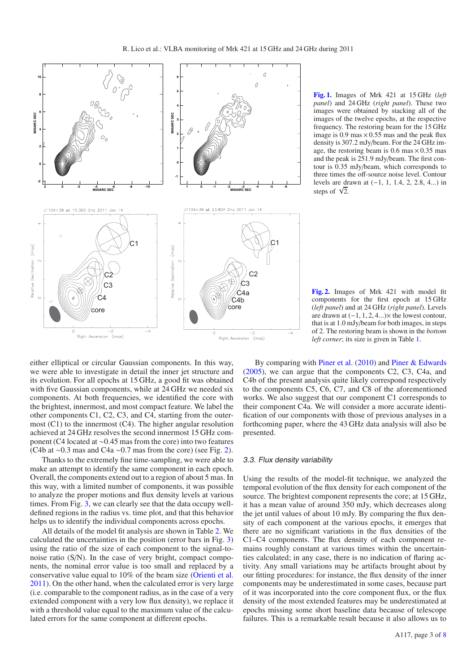

<span id="page-4-0"></span>**[Fig. 1.](http://dexter.edpsciences.org/applet.php?DOI=10.1051/0004-6361/201219870&pdf_id=1)** Images of Mrk 421 at 15 GHz (*left panel*) and 24 GHz (*right panel*). These two images were obtained by stacking all of the images of the twelve epochs, at the respective frequency. The restoring beam for the 15 GHz image is 0.9 mas  $\times$  0.55 mas and the peak flux density is 307.2 mJy/beam. For the 24 GHz image, the restoring beam is  $0.6$  mas  $\times 0.35$  mas and the peak is 251.9 mJy/beam. The first contour is 0.35 mJy/beam, which corresponds to three times the off-source noise level. Contour levels are drawn at (−1, 1, 1.4, 2, 2.8, 4...) in steps of  $\sqrt{2}$ .

<span id="page-4-1"></span>**[Fig. 2.](http://dexter.edpsciences.org/applet.php?DOI=10.1051/0004-6361/201219870&pdf_id=2)** Images of Mrk 421 with model fit components for the first epoch at 15 GHz (*left panel*) and at 24 GHz (*right panel*). Levels are drawn at  $(-1, 1, 2, 4...) \times$  the lowest contour, that is at 1.0 mJy/beam for both images, in steps of 2. The restoring beam is shown in the *bottom left corner*; its size is given in Table [1.](#page-3-0)

either elliptical or circular Gaussian components. In this way, we were able to investigate in detail the inner jet structure and its evolution. For all epochs at 15 GHz, a good fit was obtained with five Gaussian components, while at 24 GHz we needed six components. At both frequencies, we identified the core with the brightest, innermost, and most compact feature. We label the other components C1, C2, C3, and C4, starting from the outermost  $(C1)$  to the innermost  $(C4)$ . The higher angular resolution achieved at 24 GHz resolves the second innermost 15 GHz component (C4 located at ∼0.45 mas from the core) into two features (C4b at ∼0.3 mas and C4a ∼0.7 mas from the core) (see Fig. [2\)](#page-4-1).

Thanks to the extremely fine time-sampling, we were able to make an attempt to identify the same component in each epoch. Overall, the components extend out to a region of about 5 mas. In this way, with a limited number of components, it was possible to analyze the proper motions and flux density levels at various times. From Fig. [3,](#page-5-0) we can clearly see that the data occupy welldefined regions in the radius vs. time plot, and that this behavior helps us to identify the individual components across epochs.

All details of the model fit analysis are shown in Table [2.](#page-8-0) We calculated the uncertainties in the position (error bars in Fig. [3\)](#page-5-0) using the ratio of the size of each component to the signal-tonoise ratio (S/N). In the case of very bright, compact components, the nominal error value is too small and replaced by a conservative value equal to 10% of the beam size [\(Orienti et al.](#page-7-12) [2011\)](#page-7-12). On the other hand, when the calculated error is very large (i.e. comparable to the component radius, as in the case of a very extended component with a very low flux density), we replace it with a threshold value equal to the maximum value of the calculated errors for the same component at different epochs.

By comparing with [Piner et al.](#page-7-13) [\(2010](#page-7-13)) and [Piner & Edwards](#page-7-14) [\(2005\)](#page-7-14), we can argue that the components C2, C3, C4a, and C4b of the present analysis quite likely correspond respectively to the components C5, C6, C7, and C8 of the aforementioned works. We also suggest that our component C1 corresponds to their component C4a. We will consider a more accurate identification of our components with those of previous analyses in a forthcoming paper, where the 43 GHz data analysis will also be presented.

#### <span id="page-4-2"></span>3.3. Flux density variability

Using the results of the model-fit technique, we analyzed the temporal evolution of the flux density for each component of the source. The brightest component represents the core; at 15 GHz, it has a mean value of around 350 mJy, which decreases along the jet until values of about 10 mJy. By comparing the flux density of each component at the various epochs, it emerges that there are no significant variations in the flux densities of the C1–C4 components. The flux density of each component remains roughly constant at various times within the uncertainties calculated; in any case, there is no indication of flaring activity. Any small variations may be artifacts brought about by our fitting procedures: for instance, the flux density of the inner components may be underestimated in some cases, because part of it was incorporated into the core component flux, or the flux density of the most extended features may be underestimated at epochs missing some short baseline data because of telescope failures. This is a remarkable result because it also allows us to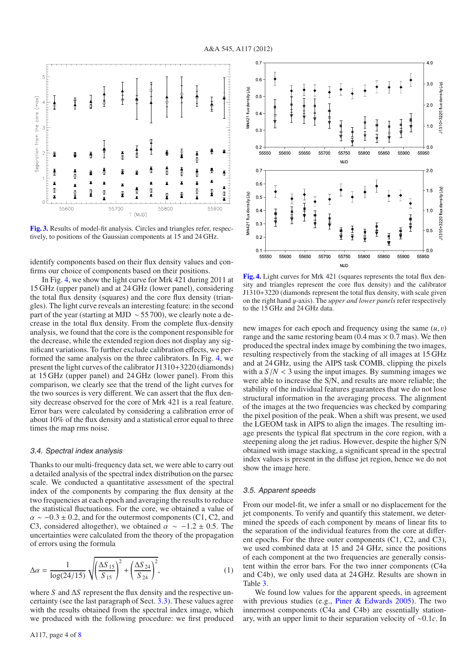<span id="page-5-0"></span>**[Fig. 3.](http://dexter.edpsciences.org/applet.php?DOI=10.1051/0004-6361/201219870&pdf_id=3)** Results of model-fit analysis. Circles and triangles refer, respectively, to positions of the Gaussian components at 15 and 24 GHz.

identify components based on their flux density values and confirms our choice of components based on their positions.

In Fig. [4,](#page-5-1) we show the light curve for Mrk 421 during 2011 at 15 GHz (upper panel) and at 24 GHz (lower panel), considering the total flux density (squares) and the core flux density (triangles). The light curve reveals an interesting feature: in the second part of the year (starting at MJD ∼ 55 700), we clearly note a decrease in the total flux density. From the complete flux-density analysis, we found that the core is the component responsible for the decrease, while the extended region does not display any significant variations. To further exclude calibration effects, we performed the same analysis on the three calibrators. In Fig. [4,](#page-5-1) we present the light curves of the calibrator J1310+3220 (diamonds) at 15 GHz (upper panel) and 24 GHz (lower panel). From this comparison, we clearly see that the trend of the light curves for the two sources is very different. We can assert that the flux density decrease observed for the core of Mrk 421 is a real feature. Error bars were calculated by considering a calibration error of about 10% of the flux density and a statistical error equal to three times the map rms noise.

#### 3.4. Spectral index analysis

Thanks to our multi-frequency data set, we were able to carry out a detailed analysis of the spectral index distribution on the parsec scale. We conducted a quantitative assessment of the spectral index of the components by comparing the flux density at the two frequencies at each epoch and averaging the results to reduce the statistical fluctuations. For the core, we obtained a value of  $\alpha \sim -0.3 \pm 0.2$ , and for the outermost components (C1, C2, and C3, considered altogether), we obtained  $\alpha \sim -1.2 \pm 0.5$ . The uncertainties were calculated from the theory of the propagation of errors using the formula

$$
\Delta \alpha = \frac{1}{\log(24/15)} \sqrt{\left(\frac{\Delta S_{15}}{S_{15}}\right)^2 + \left(\frac{\Delta S_{24}}{S_{24}}\right)^2},\tag{1}
$$

where *S* and Δ*S* represent the flux density and the respective uncertainty (see the last paragraph of Sect. [3.3\)](#page-4-2). These values agree with the results obtained from the spectral index image, which we produced with the following procedure: we first produced



<span id="page-5-1"></span>**[Fig. 4.](http://dexter.edpsciences.org/applet.php?DOI=10.1051/0004-6361/201219870&pdf_id=4)** Light curves for Mrk 421 (squares represents the total flux density and triangles represent the core flux density) and the calibrator J1310+3220 (diamonds represent the total flux density, with scale given on the right hand y-axis). The *upper and lower panels* refer respectively to the 15 GHz and 24 GHz data.

new images for each epoch and frequency using the same (*u*, v) range and the same restoring beam  $(0.4 \text{ mas} \times 0.7 \text{ mas})$ . We then produced the spectral index image by combining the two images, resulting respectively from the stacking of all images at 15 GHz and at 24 GHz, using the AIPS task COMB, clipping the pixels with a  $S/N < 3$  using the input images. By summing images we were able to increase the S/N, and results are more reliable; the stability of the individual features guarantees that we do not lose structural information in the averaging process. The alignment of the images at the two frequencies was checked by comparing the pixel position of the peak. When a shift was present, we used the LGEOM task in AIPS to align the images. The resulting image presents the typical flat spectrum in the core region, with a steepening along the jet radius. However, despite the higher S/N obtained with image stacking, a significant spread in the spectral index values is present in the diffuse jet region, hence we do not show the image here.

#### 3.5. Apparent speeds

From our model-fit, we infer a small or no displacement for the jet components. To verify and quantify this statement, we determined the speeds of each component by means of linear fits to the separation of the individual features from the core at different epochs. For the three outer components (C1, C2, and C3), we used combined data at 15 and 24 GHz, since the positions of each component at the two frequencies are generally consistent within the error bars. For the two inner components (C4a and C4b), we only used data at 24 GHz. Results are shown in Table [3.](#page-6-0)

We found low values for the apparent speeds, in agreement with previous studies (e.g., Piner  $&$  Edwards 2005). The two innermost components (C4a and C4b) are essentially stationary, with an upper limit to their separation velocity of ∼0.1*c*. In

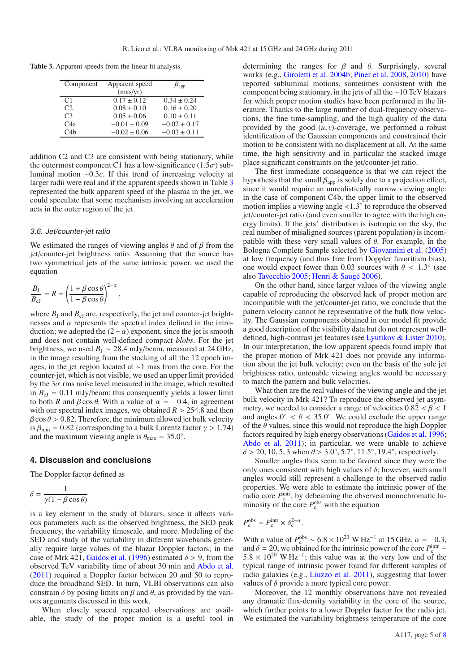**Table 3.** Apparent speeds from the linear fit analysis.

<span id="page-6-0"></span>

| Component        | Apparent speed   | $\beta_{\rm app}$ |
|------------------|------------------|-------------------|
|                  | (max/yr)         |                   |
| C <sub>1</sub>   | $0.17 \pm 0.12$  | $0.34 \pm 0.24$   |
| C2               | $0.08 \pm 0.10$  | $0.16 \pm 0.20$   |
| C <sub>3</sub>   | $0.05 \pm 0.06$  | $0.10 \pm 0.11$   |
| C <sub>4</sub> a | $-0.01 \pm 0.09$ | $-0.02 \pm 0.17$  |
| C4h              | $-0.02 \pm 0.06$ | $-0.03 \pm 0.11$  |
|                  |                  |                   |

addition C2 and C3 are consistent with being stationary, while the outermost component C1 has a low-significance (1.5 $\sigma$ ) subluminal motion ∼0.3*c*. If this trend of increasing velocity at larger radii were real and if the apparent speeds shown in Table [3](#page-6-0) represented the bulk apparent speed of the plasma in the jet, we could speculate that some mechanism involving an acceleration acts in the outer region of the jet.

#### 3.6. Jet/counter-jet ratio

We estimated the ranges of viewing angles  $\theta$  and of  $\beta$  from the jet/counter-jet brightness ratio. Assuming that the source has two symmetrical jets of the same intrinsic power, we used the equation

,

$$
\frac{B_{\rm J}}{B_{\rm cJ}} = R = \left(\frac{1 + \beta \cos \theta}{1 - \beta \cos \theta}\right)^{2-\alpha}
$$

where  $B_J$  and  $B_{cJ}$  are, respectively, the jet and counter-jet brightnesses and  $\alpha$  represents the spectral index defined in the introduction; we adopted the  $(2-\alpha)$  exponent, since the jet is smooth and does not contain well-defined compact *blobs*. For the jet brightness, we used  $B_1 \sim 28.4$  mJy/beam, measured at 24 GHz, in the image resulting from the stacking of all the 12 epoch images, in the jet region located at ∼1 mas from the core. For the counter-jet, which is not visible, we used an upper limit provided by the  $3\sigma$  rms noise level measured in the image, which resulted in  $B_{cJ} = 0.11$  mJy/beam; this consequently yields a lower limit to both *R* and  $\beta \cos \theta$ . With a value of  $\alpha = -0.4$ , in agreement with our spectral index images, we obtained  $R > 254.8$  and then  $\beta$  cos  $\theta$  > 0.82. Therefore, the minimum allowed jet bulk velocity is  $\beta_{\text{min}} = 0.82$  (corresponding to a bulk Lorentz factor  $\gamma > 1.74$ ) and the maximum viewing angle is  $\theta_{\text{max}} = 35.0^{\circ}$ .

## **4. Discussion and conclusions**

The Doppler factor defined as

$$
\delta = \frac{1}{\gamma(1 - \beta \cos \theta)}
$$

is a key element in the study of blazars, since it affects various parameters such as the observed brightness, the SED peak frequency, the variability timescale, and more. Modeling of the SED and study of the variability in different wavebands generally require large values of the blazar Doppler factors; in the case of Mrk 421, [Gaidos et al.](#page-7-3) [\(1996\)](#page-7-3) estimated  $\delta > 9$ , from the observed TeV variability time of about 30 min and [Abdo et al.](#page-7-1) [\(2011](#page-7-1)) required a Doppler factor between 20 and 50 to reproduce the broadband SED. In turn, VLBI observations can also constrain  $\delta$  by posing limits on  $\beta$  and  $\theta$ , as provided by the various arguments discussed in this work.

When closely spaced repeated observations are available, the study of the proper motion is a useful tool in determining the ranges for  $\beta$  and  $\theta$ . Surprisingly, several works (e.g., [Giroletti et al. 2004b](#page-7-15); [Piner et al. 2008](#page-7-16), [2010\)](#page-7-13) have reported subluminal motions, sometimes consistent with the component being stationary, in the jets of all the ∼10 TeV blazars for which proper motion studies have been performed in the literature. Thanks to the large number of dual-frequency observations, the fine time-sampling, and the high quality of the data provided by the good  $(u, v)$ -coverage, we performed a robust identification of the Gaussian components and constrained their motion to be consistent with no displacement at all. At the same time, the high sensitivity and in particular the stacked image place significant constraints on the jet/counter-jet ratio.

The first immediate consequence is that we can reject the hypothesis that the small  $\beta_{\text{app}}$  is solely due to a projection effect, since it would require an unrealistically narrow viewing angle: in the case of component C4b, the upper limit to the observed motion implies a viewing angle <sup>&</sup>lt;1.3◦ to reproduce the observed jet/counter-jet ratio (and even smaller to agree with the high energy limits). If the jets' distribution is isotropic on the sky, the real number of misaligned sources (parent population) is incompatible with these very small values of  $\theta$ . For example, in the Bologna Complete Sample selected by [Giovannini et al.](#page-7-17) [\(2005](#page-7-17)) at low frequency (and thus free from Doppler favoritism bias), one would expect fewer than 0.03 sources with  $\theta$  < 1.3 $\degree$  (see also [Tavecchio 2005;](#page-7-18) [Henri & Saugé 2006](#page-7-19)).

On the other hand, since larger values of the viewing angle capable of reproducing the observed lack of proper motion are incompatible with the jet/counter-jet ratio, we conclude that the pattern velocity cannot be representative of the bulk flow velocity. The Gaussian components obtained in our model fit provide a good description of the visibility data but do not represent welldefined, high-contrast jet features (see [Lyutikov & Lister 2010\)](#page-7-20). In our interpretation, the low apparent speeds found imply that the proper motion of Mrk 421 does not provide any information about the jet bulk velocity; even on the basis of the sole jet brightness ratio, untenable viewing angles would be necessary to match the pattern and bulk velocities.

What then are the real values of the viewing angle and the jet bulk velocity in Mrk 421? To reproduce the observed jet asymmetry, we needed to consider a range of velocities  $0.82 < \beta < 1$ and angles  $0° < \theta < 35.0°$ . We could exclude the upper range of the  $\theta$  values, since this would not reproduce the high Doppler factors required by high energy observations [\(Gaidos et al. 1996;](#page-7-3) [Abdo et al. 2011\)](#page-7-1); in particular, we were unable to achieve  $\delta$  > 20, 10, 5, 3 when  $\theta$  > 3.0°, 5.7°, 11.5°, 19.4°, respectively.

Smaller angles thus seem to be favored since they were the only ones consistent with high values of  $\delta$ ; however, such small angles would still represent a challenge to the observed radio properties. We were able to estimate the intrinsic power of the radio core  $P_c^{\text{intr}}$ , by debeaming the observed monochromatic luminosity of the core  $P_c^{\text{obs}}$  with the equation

$$
P_{\rm c}^{\rm obs} = P_{\rm c}^{\rm intr} \times \delta_{\rm c}^{2-\alpha}.
$$

With a value of  $P_{\rm c}^{\rm obs} \sim 6.8 \times 10^{23} \rm \ W \, Hz^{-1}$  at 15 GHz,  $\alpha = -0.3$ , and  $\delta = 20$  we obtained for the intrinsic power of the core  $P^{\rm intr} \sim$ and  $\delta = 20$ , we obtained for the intrinsic power of the core  $P_{\rm c}^{\rm intr} \sim$  5.8  $\times$  10<sup>20</sup> W Hz<sup>-1</sup> this value was at the very low end of the  $5.8 \times 10^{20}$  W Hz<sup>-1</sup>; this value was at the very low end of the typical range of intrinsic power found for different samples of radio galaxies (e.g., [Liuzzo et al. 2011](#page-7-21)), suggesting that lower values of  $\delta$  provide a more typical core power.

Moreover, the 12 monthly observations have not revealed any dramatic flux-density variability in the core of the source, which further points to a lower Doppler factor for the radio jet. We estimated the variability brightness temperature of the core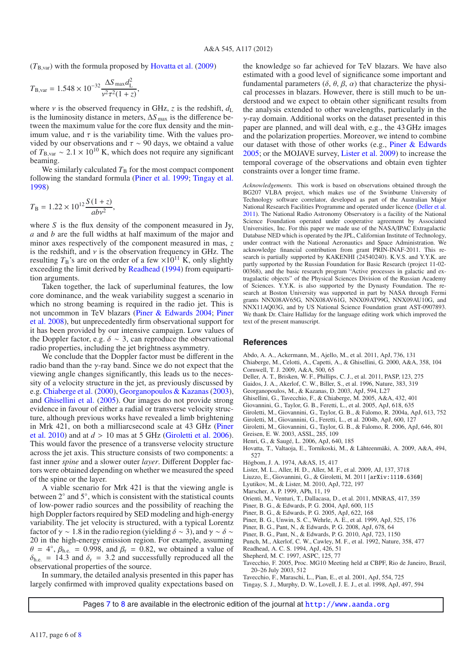$(T_{\rm B, var})$  with the formula proposed by [Hovatta et al.](#page-7-22) [\(2009\)](#page-7-22)

$$
T_{\rm B, var} = 1.548 \times 10^{-32} \frac{\Delta S_{\rm max} d_{\rm L}^2}{v^2 \tau^2 (1+z)},
$$

where *v* is the observed frequency in GHz, *z* is the redshift,  $d<sub>L</sub>$ is the luminosity distance in meters,  $\Delta S_{\text{max}}$  is the difference between the maximum value for the core flux density and the minimum value, and  $\tau$  is the variability time. With the values provided by our observations and  $\tau \sim 90$  days, we obtaind a value of  $T_{\rm B, var} \sim 2.1 \times 10^{10}$  K, which does not require any significant beaming.

We similarly calculated  $T<sub>B</sub>$  for the most compact component following the standard formula [\(Piner et al. 1999](#page-7-5); [Tingay et al.](#page-7-23) [1998\)](#page-7-23)

$$
T_{\rm B} = 1.22 \times 10^{12} \frac{S(1+z)}{abv^2},
$$

where *S* is the flux density of the component measured in Jy, *a* and *b* are the full widths at half maximum of the major and minor axes respectively of the component measured in mas, *z* is the redshift, and  $\nu$  is the observation frequency in GHz. The resulting  $T_B$ 's are on the order of a few  $\times 10^{11}$  K, only slightly exceeding the limit derived by [Readhead](#page-7-24) [\(1994](#page-7-24)) from equipartition arguments.

Taken together, the lack of superluminal features, the low core dominance, and the weak variability suggest a scenario in which no strong beaming is required in the radio jet. This is not [uncommon in TeV blazars](#page-7-16) [\(Piner & Edwards 2004](#page-7-6)[;](#page-7-16) Piner et al. [2008](#page-7-16)), but unprecedentedly firm observational support for it has been provided by our intensive campaign. Low values of the Doppler factor, e.g.  $\delta \sim 3$ , can reproduce the observational radio properties, including the jet brightness asymmetry.

We conclude that the Doppler factor must be different in the radio band than the γ-ray band. Since we do not expect that the viewing angle changes significantly, this leads us to the necessity of a velocity structure in the jet, as previously discussed by e.g. [Chiaberge et al.](#page-7-25) [\(2000\)](#page-7-25), [Georganopoulos & Kazanas](#page-7-26) [\(2003\)](#page-7-26), and [Ghisellini et al.](#page-7-27) [\(2005](#page-7-27)). Our images do not provide strong evidence in favour of either a radial or transverse velocity structure, although previous works have revealed a limb brightening in [Mrk](#page-7-13) [421,](#page-7-13) [on](#page-7-13) [both](#page-7-13) [a](#page-7-13) [milliarcsecond](#page-7-13) [scale](#page-7-13) [at](#page-7-13) [43](#page-7-13) [GHz](#page-7-13) [\(](#page-7-13)Piner et al. [2010\)](#page-7-13) and at  $d > 10$  mas at 5 GHz [\(Giroletti et al. 2006\)](#page-7-4). This would favor the presence of a transverse velocity structure across the jet axis. This structure consists of two components: a fast inner *spine* and a slower outer *layer*. Different Doppler factors were obtained depending on whether we measured the speed of the spine or the layer.

A viable scenario for Mrk 421 is that the viewing angle is between 2◦ and 5◦, which is consistent with the statistical counts of low-power radio sources and the possibility of reaching the high Doppler factors required by SED modeling and high-energy variability. The jet velocity is structured, with a typical Lorentz factor of  $\gamma \sim 1.8$  in the radio region (yielding  $\delta \sim 3$ ), and  $\gamma \sim \delta \sim$ 20 in the high-energy emission region. For example, assuming  $\theta = 4^\circ$ ,  $\beta_{\text{h.e.}} = 0.998$ , and  $\beta_{\text{r}} = 0.82$ , we obtained a value of  $\delta_{\text{h.c.}} = 14.3$  and  $\delta_{\text{r}} = 3.2$  and successfully reproduced all the  $\delta_{\text{h.e.}}$  = 14.3 and  $\delta_{\text{r}}$  = 3.2 and successfully reproduced all the observational properties of the source observational properties of the source.

In summary, the detailed analysis presented in this paper has largely confirmed with improved quality expectations based on the knowledge so far achieved for TeV blazars. We have also estimated with a good level of significance some important and fundamental parameters  $(\delta, \theta, \beta, \alpha)$  that characterize the physical processes in blazars. However, there is still much to be understood and we expect to obtain other significant results from the analysis extended to other wavelengths, particularly in the γ-ray domain. Additional works on the dataset presented in this paper are planned, and will deal with, e.g., the 43 GHz images and the polarization properties. Moreover, we intend to combine our dataset with those of other works (e.g., [Piner & Edwards](#page-7-14) [2005;](#page-7-14) or the MOJAVE survey, [Lister et al. 2009\)](#page-7-28) to increase the temporal coverage of the observations and obtain even tighter constraints over a longer time frame.

*Acknowledgements.* This work is based on observations obtained through the BG207 VLBA project, which makes use of the Swinburne University of Technology software correlator, developed as part of the Australian Major National Research Facilities Programme and operated under licence [\(Deller et al.](#page-7-29) [2011](#page-7-29)). The National Radio Astronomy Observatory is a facility of the National Science Foundation operated under cooperative agreement by Associated Universities, Inc. For this paper we made use of the NASA/IPAC Extragalactic Database NED which is operated by the JPL, Californian Institute of Technology, under contract with the National Aeronautics and Space Administration. We acknowledge financial contribution from grant PRIN-INAF-2011. This research is partially supported by KAKENHI (24540240). K.V.S. and Y.Y.K. are partly supported by the Russian Foundation for Basic Research (project 11-02- 00368), and the basic research program "Active processes in galactic and extragalactic objects" of the Physical Sciences Division of the Russian Academy of Sciences. Y.Y.K. is also supported by the Dynasty Foundation. The research at Boston University was supported in part by NASA through Fermi grants NNX08AV65G, NNX08AV61G, NNX09AT99G, NNX09AU10G, and NNX11AQ03G, and by US National Science Foundation grant AST-0907893. We thank Dr. Claire Halliday for the language editing work which improved the text of the present manuscript.

#### **References**

- <span id="page-7-1"></span>Abdo, A. A., Ackermann, M., Ajello, M., et al. 2011, ApJ, 736, 131
- <span id="page-7-25"></span>Chiaberge, M., Celotti, A., Capetti, A., & Ghisellini, G. 2000, A&A, 358, 104 Cornwell, T. J. 2009, A&A, 500, 65
- <span id="page-7-29"></span>Deller, A. T., Brisken, W. F., Phillips, C. J., et al. 2011, PASP, 123, 275
- <span id="page-7-3"></span>Gaidos, J. A., Akerlof, C. W., Biller, S., et al. 1996, Nature, 383, 319
- 
- <span id="page-7-26"></span>Georganopoulos, M., & Kazanas, D. 2003, ApJ, 594, L27
- <span id="page-7-27"></span>Ghisellini, G., Tavecchio, F., & Chiaberge, M. 2005, A&A, 432, 401
- <span id="page-7-17"></span>Giovannini, G., Taylor, G. B., Feretti, L., et al. 2005, ApJ, 618, 635
- <span id="page-7-10"></span>Giroletti, M., Giovannini, G., Taylor, G. B., & Falomo, R. 2004a, ApJ, 613, 752
- <span id="page-7-15"></span>Giroletti, M., Giovannini, G., Feretti, L., et al. 2004b, ApJ, 600, 127
- <span id="page-7-4"></span>Giroletti, M., Giovannini, G., Taylor, G. B., & Falomo, R. 2006, ApJ, 646, 801 Greisen, E. W. 2003, ASSL, 285, 109
- <span id="page-7-19"></span><span id="page-7-7"></span>Henri, G., & Saugé, L. 2006, ApJ, 640, 185
- <span id="page-7-22"></span>Hovatta, T., Valtaoja, E., Tornikoski, M., & Lähteenmäki, A. 2009, A&A, 494, 527
- <span id="page-7-9"></span>Högbom, J. A. 1974, A&AS, 15, 417
- <span id="page-7-28"></span>Lister, M. L., Aller, H. D., Aller, M. F., et al. 2009, AJ, 137, 3718
- <span id="page-7-21"></span>Liuzzo, E., Giovannini, G., & Giroletti, M. 2011 [arXiv:1110.6360]
- <span id="page-7-20"></span>Lyutikov, M., & Lister, M. 2010, ApJ, 722, 197
- <span id="page-7-11"></span>Marscher, A. P. 1999, APh, 11, 19
- <span id="page-7-12"></span>Orienti, M., Venturi, T., Dallacasa, D., et al. 2011, MNRAS, 417, 359
- <span id="page-7-6"></span>Piner, B. G., & Edwards, P. G. 2004, ApJ, 600, 115
- <span id="page-7-14"></span>Piner, B. G., & Edwards, P. G. 2005, ApJ, 622, 168
- <span id="page-7-5"></span>Piner, B. G., Unwin, S. C., Wehrle, A. E., et al. 1999, ApJ, 525, 176
- <span id="page-7-16"></span>Piner, B. G., Pant, N., & Edwards, P. G. 2008, ApJ, 678, 64
- <span id="page-7-13"></span>Piner, B. G., Pant, N., & Edwards, P. G. 2010, ApJ, 723, 1150
- <span id="page-7-0"></span>Punch, M., Akerlof, C. W., Cawley, M. F., et al. 1992, Nature, 358, 477
- <span id="page-7-24"></span>Readhead, A. C. S. 1994, ApJ, 426, 51
- <span id="page-7-8"></span>Shepherd, M. C. 1997, ASPC, 125, 77
- <span id="page-7-18"></span>Tavecchio, F. 2005, Proc. MG10 Meeting held at CBPF, Rio de Janeiro, Brazil, 20–26 July 2003, 512
- Tavecchio, F., Maraschi, L., Pian, E., et al. 2001, ApJ, 554, 725
- <span id="page-7-23"></span><span id="page-7-2"></span>Tingay, S. J., Murphy, D. W., Lovell, J. E. J., et al. 1998, ApJ, 497, 594

Pages [7](#page-8-1) to [8](#page-9-0) are available in the electronic edition of the journal at <http://www.aanda.org>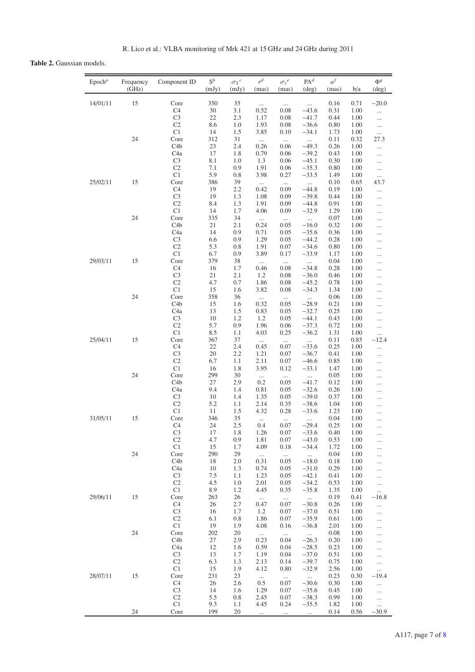# <span id="page-8-1"></span><span id="page-8-0"></span>**Table 2.** Gaussian models.

| Epoch <sup>a</sup> | Frequency<br>(GHz) | Component ID                         | $\mathbf{S}^b$<br>(mJy) | $\sigma_S{}^c$<br>(mJy) | $r^d$<br>(mas)   | $\sigma_r{}^e$<br>(mas) | PA <sup>d</sup><br>$(\text{deg})$ | $a^f$<br>(mas) | b/a          | $\Phi^g$<br>$(\text{deg})$ |
|--------------------|--------------------|--------------------------------------|-------------------------|-------------------------|------------------|-------------------------|-----------------------------------|----------------|--------------|----------------------------|
|                    |                    |                                      |                         |                         |                  |                         |                                   |                |              |                            |
| 14/01/11           | 15                 | Core<br>C <sub>4</sub>               | 350<br>30               | 35<br>3.1               | $\cdots$<br>0.52 | <br>0.08                | $\cdots$<br>$-43.6$               | 0.16<br>0.31   | 0.71<br>1.00 | $-20.0$<br>                |
|                    |                    | C <sub>3</sub>                       | 22                      | 2.3                     | 1.17             | 0.08                    | $-41.7$                           | 0.44           | 1.00         |                            |
|                    |                    | C <sub>2</sub>                       | 8.6                     | 1.0                     | 1.93             | 0.08                    | $-36.6$                           | 0.80           | 1.00         |                            |
|                    | 24                 | C1<br>Core                           | 14<br>312               | 1.5<br>31               | 3.85             | 0.10                    | $-34.1$                           | 1.73<br>0.11   | 1.00<br>0.32 | $\cdots$<br>27.3           |
|                    |                    | C4b                                  | 23                      | 2.4                     | $\cdots$<br>0.26 | $\cdots$<br>0.06        | $\cdots$<br>$-49.3$               | 0.26           | 1.00         |                            |
|                    |                    | C <sub>4</sub> a                     | 17                      | 1.8                     | 0.79             | 0.06                    | $-39.2$                           | 0.43           | 1.00         |                            |
|                    |                    | C <sub>3</sub>                       | 8.1                     | 1.0                     | 1.3              | 0.06                    | $-45.1$                           | 0.30           | 1.00         |                            |
|                    |                    | C <sub>2</sub><br>C1                 | 7.1<br>5.9              | 0.9<br>0.8              | 1.91<br>3.98     | 0.06<br>0.27            | $-35.3$<br>$-33.5$                | 0.80<br>1.49   | 1.00<br>1.00 |                            |
| 25/02/11           | 15                 | Core                                 | 386                     | 39                      | $\ldots$         | $\cdots$                | $\cdots$                          | 0.10           | 0.65         | <br>43.7                   |
|                    |                    | C <sub>4</sub>                       | 19                      | 2.2                     | 0.42             | 0.09                    | $-44.8$                           | 0.19           | 1.00         |                            |
|                    |                    | C <sub>3</sub>                       | 19                      | 1.3                     | 1.08             | 0.09                    | $-39.8$                           | 0.44           | 1.00         |                            |
|                    |                    | C <sub>2</sub><br>C1                 | 8.4<br>14               | 1.3<br>1.7              | 1.91<br>4.06     | 0.09<br>0.09            | $-44.8$<br>$-32.9$                | 0.91<br>1.29   | 1.00<br>1.00 |                            |
|                    | 24                 | Core                                 | 335                     | 34                      | $\cdots$         | $\cdots$                | $\cdots$                          | 0.07           | 1.00         | $\cdots$<br>$\cdots$       |
|                    |                    | C4b                                  | 21                      | 2.1                     | 0.24             | 0.05                    | $-16.0$                           | 0.32           | 1.00         | $\cdots$                   |
|                    |                    | C4a                                  | 14                      | 0.9                     | 0.71             | 0.05                    | $-35.6$                           | 0.36           | 1.00         |                            |
|                    |                    | C <sub>3</sub><br>C <sub>2</sub>     | 6.6<br>5.3              | 0.9                     | 1.29<br>1.91     | 0.05                    | $-44.2$                           | 0.28           | 1.00<br>1.00 | $\cdots$                   |
|                    |                    | C1                                   | 6.7                     | 0.8<br>0.9              | 3.89             | 0.07<br>0.17            | $-34.6$<br>$-33.9$                | 0.80<br>1.17   | 1.00         | <br>$\cdots$               |
| 29/03/11           | 15                 | Core                                 | 379                     | 38                      | $\cdots$         | $\cdots$                | $\cdots$                          | 0.04           | 1.00         |                            |
|                    |                    | C <sub>4</sub>                       | 16                      | 1.7                     | 0.46             | 0.08                    | $-34.8$                           | 0.28           | 1.00         |                            |
|                    |                    | C <sub>3</sub>                       | 21                      | 2.1                     | 1.2              | 0.08                    | $-36.0$                           | 0.46           | 1.00         |                            |
|                    |                    | C <sub>2</sub><br>C1                 | 4.7<br>15               | 0.7<br>1.6              | 1.86<br>3.82     | 0.08<br>0.08            | $-45.2$<br>$-34.3$                | 0.78<br>1.34   | 1.00<br>1.00 | $\cdots$                   |
|                    | 24                 | Core                                 | 358                     | 36                      | $\cdots$         | $\cdots$                |                                   | 0.06           | 1.00         | <br>                       |
|                    |                    | C <sub>4</sub> b                     | 15                      | 1.6                     | 0.32             | 0.05                    | $-28.9$                           | 0.21           | 1.00         |                            |
|                    |                    | C4a                                  | 13                      | 1.5                     | 0.83             | 0.05                    | $-32.7$                           | 0.25           | 1.00         |                            |
|                    |                    | C <sub>3</sub><br>C <sub>2</sub>     | 10<br>5.7               | 1.2<br>0.9              | 1.2<br>1.96      | 0.05<br>0.06            | $-44.1$<br>$-37.3$                | 0.43<br>0.72   | 1.00<br>1.00 |                            |
|                    |                    | C1                                   | 8.5                     | 1.1                     | 4.03             | 0.25                    | $-36.2$                           | 1.31           | 1.00         | <br>                       |
| 25/04/11           | 15                 | Core                                 | 367                     | 37                      | $\cdots$         | $\cdots$                | $\cdots$                          | 0.11           | 0.85         | $-12.4$                    |
|                    |                    | C <sub>4</sub>                       | 22                      | 2.4                     | 0.45             | 0.07                    | $-33.6$                           | 0.25           | 1.00         |                            |
|                    |                    | C <sub>3</sub><br>C <sub>2</sub>     | 20<br>6.7               | 2.2<br>1.1              | 1.21<br>2.11     | 0.07<br>0.07            | $-36.7$<br>$-46.6$                | 0.41<br>0.85   | 1.00<br>1.00 |                            |
|                    |                    | C1                                   | 16                      | 1.8                     | 3.95             | 0.12                    | $-33.1$                           | 1.47           | 1.00         | $\cdots$<br>$\cdots$       |
|                    | 24                 | Core                                 | 299                     | 30                      | $\cdots$         | $\cdots$                | $\cdots$                          | 0.05           | 1.00         | $\cdots$                   |
|                    |                    | C <sub>4</sub> b                     | 27                      | 2.9                     | 0.2              | 0.05                    | $-41.7$                           | 0.12           | 1.00         | $\cdots$                   |
|                    |                    | C4a                                  | 9.4                     | 1.4                     | 0.81             | 0.05                    | $-32.6$                           | 0.26           | 1.00         | $\cdots$                   |
|                    |                    | C <sub>3</sub><br>C <sub>2</sub>     | 10<br>5.2               | 1.4<br>1.1              | 1.35<br>2.14     | 0.05<br>0.35            | $-39.0$<br>$-38.6$                | 0.37<br>1.04   | 1.00<br>1.00 | $\cdots$<br>$\cdots$       |
|                    |                    | C1                                   | 11                      | 1.5                     | 4.32             | 0.28                    | $-33.6$                           | 1.23           | 1.00         |                            |
| 31/05/11           | 15                 | Core                                 | 346                     | 35                      | $\cdots$         | $\cdots$                | $\ldots$                          | 0.04           | 1.00         |                            |
|                    |                    | C <sub>4</sub>                       | 24                      | 2.5                     | 0.4              | 0.07                    | $-29.4$                           | 0.25           | 1.00         | $\cdots$                   |
|                    |                    | C <sub>3</sub><br>C <sub>2</sub>     | 17<br>4.7               | 1.8<br>0.9              | 1.26<br>1.81     | 0.07<br>0.07            | $-33.6$<br>$-43.0$                | 0.40<br>0.53   | 1.00<br>1.00 | $\cdots$<br>$\cdots$       |
|                    |                    | C <sub>1</sub>                       | 15                      | 1.7                     | 4.09             | 0.18                    | $-34.4$                           | 1.72           | 1.00         | $\cdots$                   |
|                    | 24                 | Core                                 | 290                     | 29                      |                  | $\cdots$                |                                   | 0.04           | 1.00         | $\cdots$                   |
|                    |                    | C <sub>4</sub> b                     | 18                      | 2.0                     | 0.31             | 0.05                    | $-18.0$                           | 0.18           | 1.00         | $\cdots$                   |
|                    |                    | C <sub>4</sub> a<br>C <sub>3</sub>   | 10<br>7.5               | 1.3<br>1.1              | 0.74<br>1.23     | 0.05<br>0.05            | $-31.0$<br>$-42.1$                | 0.29<br>0.41   | 1.00<br>1.00 | $\cdots$<br>               |
|                    |                    | C <sub>2</sub>                       | 4.5                     | 1.0                     | 2.01             | 0.05                    | $-34.2$                           | 0.53           | 1.00         |                            |
|                    |                    | C <sub>1</sub>                       | 8.9                     | 1.2                     | 4.45             | 0.35                    | $-35.8$                           | 1.35           | 1.00         |                            |
| 29/06/11           | 15                 | Core                                 | 263                     | 26                      | $\cdots$         |                         |                                   | 0.19           | 0.41         | $-16.8$                    |
|                    |                    | C <sub>4</sub><br>C <sub>3</sub>     | 26<br>16                | 2.7<br>1.7              | 0.47<br>1.2      | 0.07<br>0.07            | $-30.8$<br>$-37.0$                | 0.26<br>0.51   | 1.00<br>1.00 |                            |
|                    |                    | C <sub>2</sub>                       | 6.1                     | 0.8                     | 1.86             | 0.07                    | $-35.9$                           | 0.61           | 1.00         | <br>                       |
|                    |                    | C <sub>1</sub>                       | 19                      | 1.9                     | 4.08             | 0.16                    | $-36.8$                           | 2.01           | 1.00         | $\cdots$                   |
|                    | 24                 | Core                                 | 202                     | 20                      | $\cdots$         | $\cdots$                | $\cdots$                          | 0.08           | 1.00         |                            |
|                    |                    | C <sub>4</sub> b<br>C <sub>4</sub> a | 27<br>12                | 2.9<br>1.6              | 0.23<br>0.59     | 0.04<br>0.04            | $-26.3$<br>$-28.5$                | 0.20<br>0.23   | 1.00<br>1.00 | $\cdots$<br>               |
|                    |                    | C <sub>3</sub>                       | 13                      | 1.7                     | 1.19             | 0.04                    | $-37.0$                           | 0.51           | 1.00         |                            |
|                    |                    | C <sub>2</sub>                       | 6.3                     | 1.3                     | 2.13             | 0.14                    | $-39.7$                           | 0.75           | 1.00         |                            |
|                    |                    | C <sub>1</sub>                       | 15                      | 1.9                     | 4.12             | 0.80                    | $-32.9$                           | 2.56           | 1.00         | $\cdots$                   |
| 28/07/11           | 15                 | Core                                 | 231                     | 23                      | $\cdots$         | $\cdots$                | $\cdots$                          | 0.23           | 0.30         | $-19.4$                    |
|                    |                    | C <sub>4</sub><br>C <sub>3</sub>     | 26<br>14                | 2.6<br>1.6              | 0.5<br>1.29      | 0.07<br>0.07            | $-30.6$<br>$-35.6$                | 0.30<br>0.45   | 1.00<br>1.00 | <br>                       |
|                    |                    | C <sub>2</sub>                       | 5.5                     | 0.8                     | 2.45             | 0.07                    | $-38.3$                           | 0.99           | 1.00         |                            |
|                    |                    | C1                                   | 9.3                     | 1.1                     | 4.45             | 0.24                    | $-35.5$                           | 1.82           | 1.00         |                            |
|                    | 24                 | Core                                 | 199                     | 20                      | $\cdots$         | $\cdots$                | $\ldots$                          | 0.14           | 0.56         | $-30.9$                    |